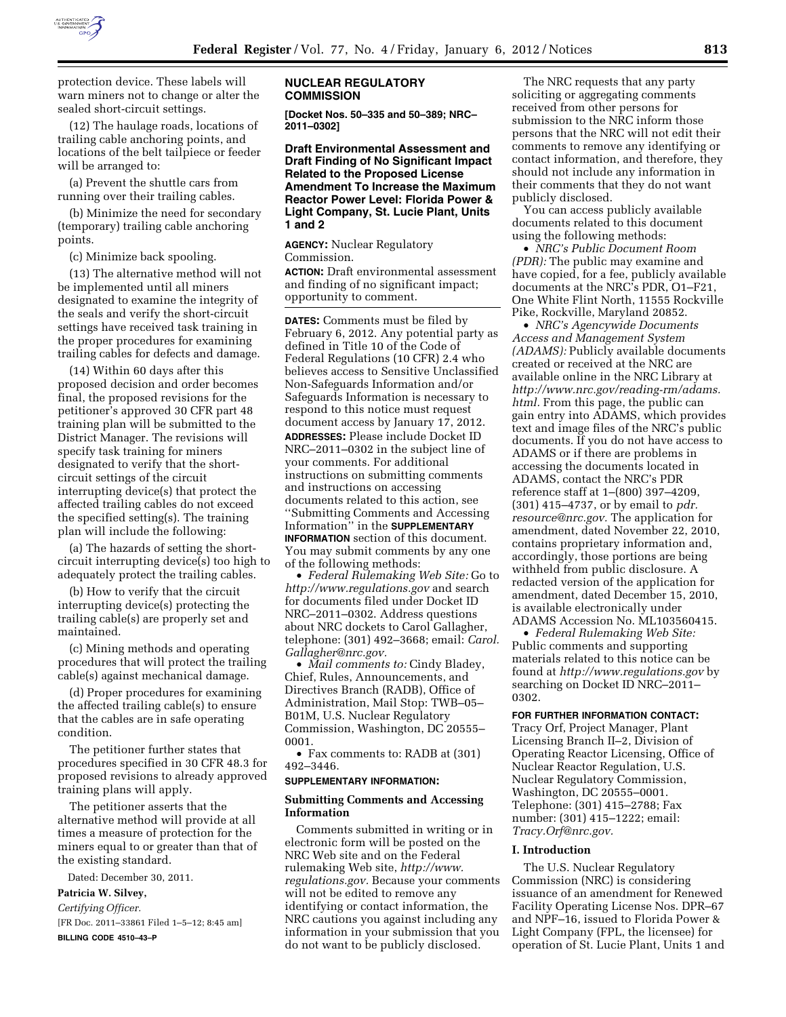

protection device. These labels will warn miners not to change or alter the sealed short-circuit settings.

(12) The haulage roads, locations of trailing cable anchoring points, and locations of the belt tailpiece or feeder will be arranged to:

(a) Prevent the shuttle cars from running over their trailing cables.

(b) Minimize the need for secondary (temporary) trailing cable anchoring points.

(c) Minimize back spooling.

(13) The alternative method will not be implemented until all miners designated to examine the integrity of the seals and verify the short-circuit settings have received task training in the proper procedures for examining trailing cables for defects and damage.

(14) Within 60 days after this proposed decision and order becomes final, the proposed revisions for the petitioner's approved 30 CFR part 48 training plan will be submitted to the District Manager. The revisions will specify task training for miners designated to verify that the shortcircuit settings of the circuit interrupting device(s) that protect the affected trailing cables do not exceed the specified setting(s). The training plan will include the following:

(a) The hazards of setting the shortcircuit interrupting device(s) too high to adequately protect the trailing cables.

(b) How to verify that the circuit interrupting device(s) protecting the trailing cable(s) are properly set and maintained.

(c) Mining methods and operating procedures that will protect the trailing cable(s) against mechanical damage.

(d) Proper procedures for examining the affected trailing cable(s) to ensure that the cables are in safe operating condition.

The petitioner further states that procedures specified in 30 CFR 48.3 for proposed revisions to already approved training plans will apply.

The petitioner asserts that the alternative method will provide at all times a measure of protection for the miners equal to or greater than that of the existing standard.

Dated: December 30, 2011.

# **Patricia W. Silvey,**

*Certifying Officer.*  [FR Doc. 2011–33861 Filed 1–5–12; 8:45 am] **BILLING CODE 4510–43–P** 

# **NUCLEAR REGULATORY COMMISSION**

**[Docket Nos. 50–335 and 50–389; NRC– 2011–0302]** 

**Draft Environmental Assessment and Draft Finding of No Significant Impact Related to the Proposed License Amendment To Increase the Maximum Reactor Power Level: Florida Power & Light Company, St. Lucie Plant, Units 1 and 2** 

**AGENCY:** Nuclear Regulatory Commission.

**ACTION:** Draft environmental assessment and finding of no significant impact; opportunity to comment.

**DATES:** Comments must be filed by February 6, 2012. Any potential party as defined in Title 10 of the Code of Federal Regulations (10 CFR) 2.4 who believes access to Sensitive Unclassified Non-Safeguards Information and/or Safeguards Information is necessary to respond to this notice must request document access by January 17, 2012. **ADDRESSES:** Please include Docket ID NRC–2011–0302 in the subject line of your comments. For additional instructions on submitting comments and instructions on accessing documents related to this action, see ''Submitting Comments and Accessing Information'' in the **SUPPLEMENTARY INFORMATION** section of this document. You may submit comments by any one of the following methods:

• *Federal Rulemaking Web Site:* Go to *<http://www.regulations.gov>* and search for documents filed under Docket ID NRC–2011–0302. Address questions about NRC dockets to Carol Gallagher, telephone: (301) 492–3668; email: *Carol. Gallagher@nrc.gov.* 

• *Mail comments to:* Cindy Bladey, Chief, Rules, Announcements, and Directives Branch (RADB), Office of Administration, Mail Stop: TWB–05– B01M, U.S. Nuclear Regulatory Commission, Washington, DC 20555– 0001.

• Fax comments to: RADB at (301) 492–3446.

#### **SUPPLEMENTARY INFORMATION:**

# **Submitting Comments and Accessing Information**

Comments submitted in writing or in electronic form will be posted on the NRC Web site and on the Federal rulemaking Web site, *[http://www.](http://www.regulations.gov) [regulations.gov.](http://www.regulations.gov)* Because your comments will not be edited to remove any identifying or contact information, the NRC cautions you against including any information in your submission that you do not want to be publicly disclosed.

The NRC requests that any party soliciting or aggregating comments received from other persons for submission to the NRC inform those persons that the NRC will not edit their comments to remove any identifying or contact information, and therefore, they should not include any information in their comments that they do not want publicly disclosed.

You can access publicly available documents related to this document using the following methods:

• *NRC's Public Document Room (PDR):* The public may examine and have copied, for a fee, publicly available documents at the NRC's PDR, O1–F21, One White Flint North, 11555 Rockville Pike, Rockville, Maryland 20852.

• *NRC's Agencywide Documents Access and Management System (ADAMS):* Publicly available documents created or received at the NRC are available online in the NRC Library at *[http://www.nrc.gov/reading-rm/adams.](http://www.nrc.gov/reading-rm/adams.html) [html.](http://www.nrc.gov/reading-rm/adams.html)* From this page, the public can gain entry into ADAMS, which provides text and image files of the NRC's public documents. If you do not have access to ADAMS or if there are problems in accessing the documents located in ADAMS, contact the NRC's PDR reference staff at 1–(800) 397–4209, (301) 415–4737, or by email to *pdr. resource@nrc.gov.* The application for amendment, dated November 22, 2010, contains proprietary information and, accordingly, those portions are being withheld from public disclosure. A redacted version of the application for amendment, dated December 15, 2010, is available electronically under ADAMS Accession No. ML103560415.

• *Federal Rulemaking Web Site:*  Public comments and supporting materials related to this notice can be found at *<http://www.regulations.gov>* by searching on Docket ID NRC–2011– 0302.

# **FOR FURTHER INFORMATION CONTACT:**

Tracy Orf, Project Manager, Plant Licensing Branch II–2, Division of Operating Reactor Licensing, Office of Nuclear Reactor Regulation, U.S. Nuclear Regulatory Commission, Washington, DC 20555–0001. Telephone: (301) 415–2788; Fax number: (301) 415–1222; email: *[Tracy.Orf@nrc.gov.](mailto:Tracy.Orf@nrc.gov)* 

# **I. Introduction**

The U.S. Nuclear Regulatory Commission (NRC) is considering issuance of an amendment for Renewed Facility Operating License Nos. DPR–67 and NPF–16, issued to Florida Power & Light Company (FPL, the licensee) for operation of St. Lucie Plant, Units 1 and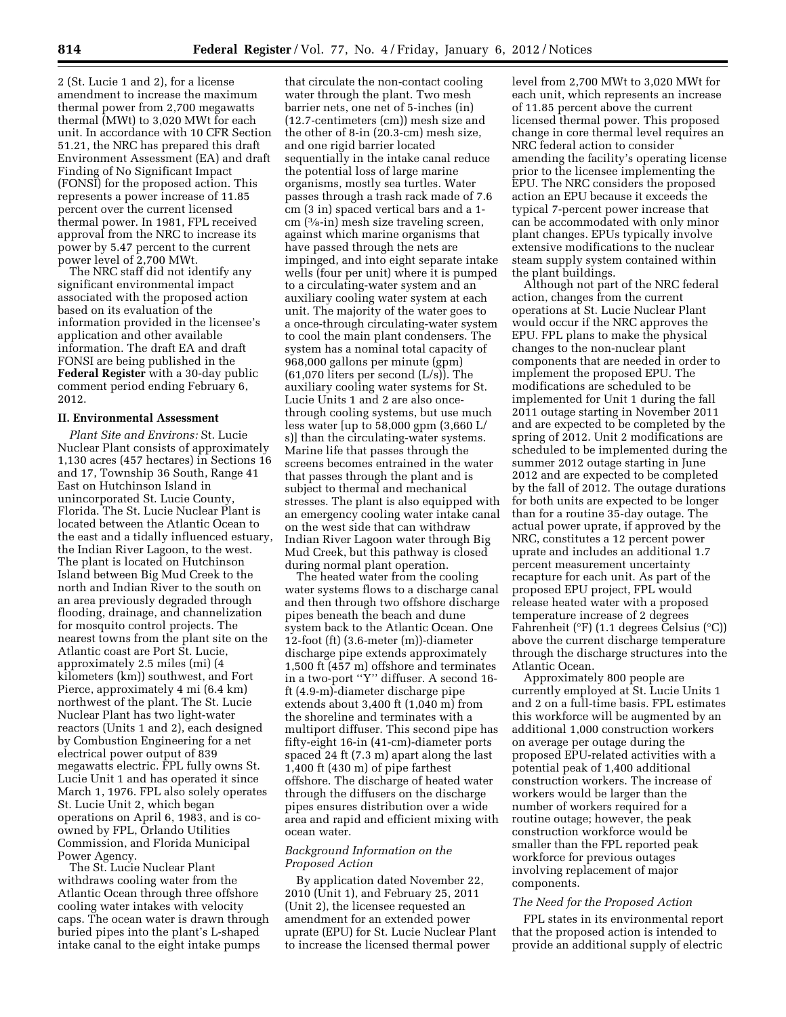2 (St. Lucie 1 and 2), for a license amendment to increase the maximum thermal power from 2,700 megawatts thermal (MWt) to 3,020 MWt for each unit. In accordance with 10 CFR Section 51.21, the NRC has prepared this draft Environment Assessment (EA) and draft Finding of No Significant Impact (FONSI) for the proposed action. This represents a power increase of 11.85 percent over the current licensed thermal power. In 1981, FPL received approval from the NRC to increase its power by 5.47 percent to the current power level of 2,700 MWt.

The NRC staff did not identify any significant environmental impact associated with the proposed action based on its evaluation of the information provided in the licensee's application and other available information. The draft EA and draft FONSI are being published in the **Federal Register** with a 30-day public comment period ending February 6, 2012.

# **II. Environmental Assessment**

*Plant Site and Environs:* St. Lucie Nuclear Plant consists of approximately 1,130 acres (457 hectares) in Sections 16 and 17, Township 36 South, Range 41 East on Hutchinson Island in unincorporated St. Lucie County, Florida. The St. Lucie Nuclear Plant is located between the Atlantic Ocean to the east and a tidally influenced estuary, the Indian River Lagoon, to the west. The plant is located on Hutchinson Island between Big Mud Creek to the north and Indian River to the south on an area previously degraded through flooding, drainage, and channelization for mosquito control projects. The nearest towns from the plant site on the Atlantic coast are Port St. Lucie, approximately 2.5 miles (mi) (4 kilometers (km)) southwest, and Fort Pierce, approximately 4 mi (6.4 km) northwest of the plant. The St. Lucie Nuclear Plant has two light-water reactors (Units 1 and 2), each designed by Combustion Engineering for a net electrical power output of 839 megawatts electric. FPL fully owns St. Lucie Unit 1 and has operated it since March 1, 1976. FPL also solely operates St. Lucie Unit 2, which began operations on April 6, 1983, and is coowned by FPL, Orlando Utilities Commission, and Florida Municipal Power Agency.

The St. Lucie Nuclear Plant withdraws cooling water from the Atlantic Ocean through three offshore cooling water intakes with velocity caps. The ocean water is drawn through buried pipes into the plant's L-shaped intake canal to the eight intake pumps

that circulate the non-contact cooling water through the plant. Two mesh barrier nets, one net of 5-inches (in) (12.7-centimeters (cm)) mesh size and the other of 8-in (20.3-cm) mesh size, and one rigid barrier located sequentially in the intake canal reduce the potential loss of large marine organisms, mostly sea turtles. Water passes through a trash rack made of 7.6 cm (3 in) spaced vertical bars and a 1 cm (3⁄8-in) mesh size traveling screen, against which marine organisms that have passed through the nets are impinged, and into eight separate intake wells (four per unit) where it is pumped to a circulating-water system and an auxiliary cooling water system at each unit. The majority of the water goes to a once-through circulating-water system to cool the main plant condensers. The system has a nominal total capacity of 968,000 gallons per minute (gpm) (61,070 liters per second (L/s)). The auxiliary cooling water systems for St. Lucie Units 1 and 2 are also oncethrough cooling systems, but use much less water [up to 58,000 gpm (3,660 L/ s)] than the circulating-water systems. Marine life that passes through the screens becomes entrained in the water that passes through the plant and is subject to thermal and mechanical stresses. The plant is also equipped with an emergency cooling water intake canal on the west side that can withdraw Indian River Lagoon water through Big Mud Creek, but this pathway is closed during normal plant operation.

The heated water from the cooling water systems flows to a discharge canal and then through two offshore discharge pipes beneath the beach and dune system back to the Atlantic Ocean. One 12-foot (ft) (3.6-meter (m))-diameter discharge pipe extends approximately 1,500 ft (457 m) offshore and terminates in a two-port ''Y'' diffuser. A second 16 ft (4.9-m)-diameter discharge pipe extends about 3,400 ft (1,040 m) from the shoreline and terminates with a multiport diffuser. This second pipe has fifty-eight 16-in (41-cm)-diameter ports spaced 24 ft (7.3 m) apart along the last 1,400 ft (430 m) of pipe farthest offshore. The discharge of heated water through the diffusers on the discharge pipes ensures distribution over a wide area and rapid and efficient mixing with ocean water.

## *Background Information on the Proposed Action*

By application dated November 22, 2010 (Unit 1), and February 25, 2011 (Unit 2), the licensee requested an amendment for an extended power uprate (EPU) for St. Lucie Nuclear Plant to increase the licensed thermal power

level from 2,700 MWt to 3,020 MWt for each unit, which represents an increase of 11.85 percent above the current licensed thermal power. This proposed change in core thermal level requires an NRC federal action to consider amending the facility's operating license prior to the licensee implementing the EPU. The NRC considers the proposed action an EPU because it exceeds the typical 7-percent power increase that can be accommodated with only minor plant changes. EPUs typically involve extensive modifications to the nuclear steam supply system contained within the plant buildings.

Although not part of the NRC federal action, changes from the current operations at St. Lucie Nuclear Plant would occur if the NRC approves the EPU. FPL plans to make the physical changes to the non-nuclear plant components that are needed in order to implement the proposed EPU. The modifications are scheduled to be implemented for Unit 1 during the fall 2011 outage starting in November 2011 and are expected to be completed by the spring of 2012. Unit 2 modifications are scheduled to be implemented during the summer 2012 outage starting in June 2012 and are expected to be completed by the fall of 2012. The outage durations for both units are expected to be longer than for a routine 35-day outage. The actual power uprate, if approved by the NRC, constitutes a 12 percent power uprate and includes an additional 1.7 percent measurement uncertainty recapture for each unit. As part of the proposed EPU project, FPL would release heated water with a proposed temperature increase of 2 degrees Fahrenheit (°F) (1.1 degrees Celsius (°C)) above the current discharge temperature through the discharge structures into the Atlantic Ocean.

Approximately 800 people are currently employed at St. Lucie Units 1 and 2 on a full-time basis. FPL estimates this workforce will be augmented by an additional 1,000 construction workers on average per outage during the proposed EPU-related activities with a potential peak of 1,400 additional construction workers. The increase of workers would be larger than the number of workers required for a routine outage; however, the peak construction workforce would be smaller than the FPL reported peak workforce for previous outages involving replacement of major components.

## *The Need for the Proposed Action*

FPL states in its environmental report that the proposed action is intended to provide an additional supply of electric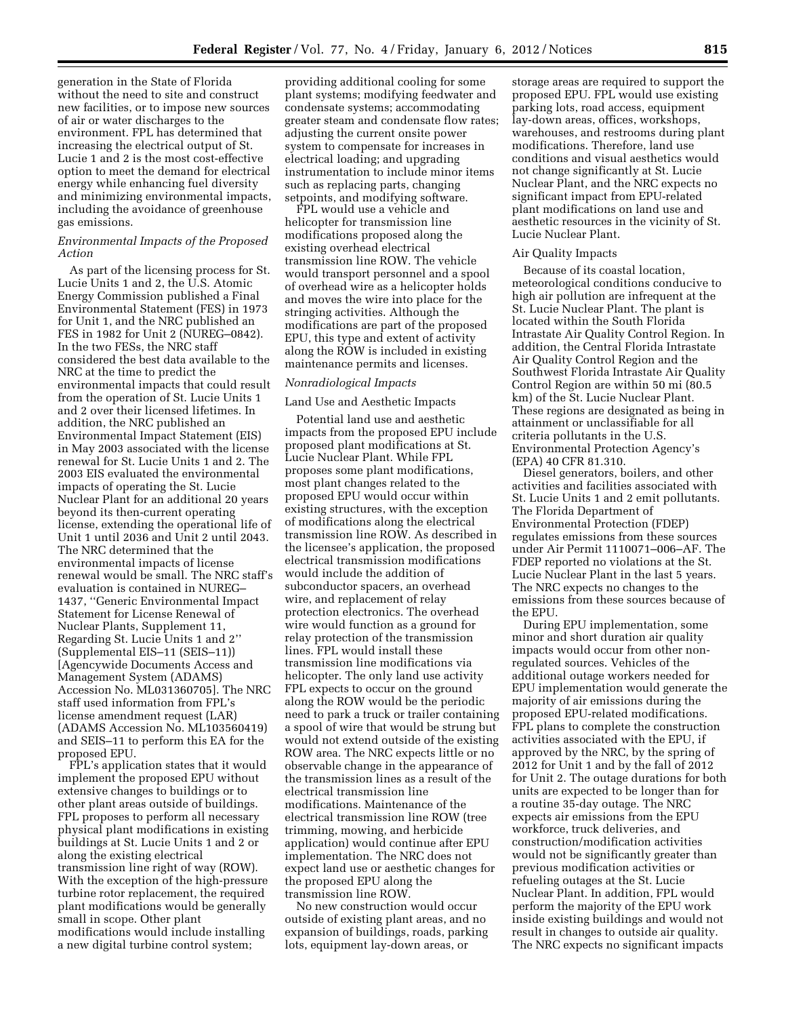generation in the State of Florida without the need to site and construct new facilities, or to impose new sources of air or water discharges to the environment. FPL has determined that increasing the electrical output of St. Lucie 1 and 2 is the most cost-effective option to meet the demand for electrical energy while enhancing fuel diversity and minimizing environmental impacts, including the avoidance of greenhouse gas emissions.

## *Environmental Impacts of the Proposed Action*

As part of the licensing process for St. Lucie Units 1 and 2, the U.S. Atomic Energy Commission published a Final Environmental Statement (FES) in 1973 for Unit 1, and the NRC published an FES in 1982 for Unit 2 (NUREG–0842). In the two FESs, the NRC staff considered the best data available to the NRC at the time to predict the environmental impacts that could result from the operation of St. Lucie Units 1 and 2 over their licensed lifetimes. In addition, the NRC published an Environmental Impact Statement (EIS) in May 2003 associated with the license renewal for St. Lucie Units 1 and 2. The 2003 EIS evaluated the environmental impacts of operating the St. Lucie Nuclear Plant for an additional 20 years beyond its then-current operating license, extending the operational life of Unit 1 until 2036 and Unit 2 until 2043. The NRC determined that the environmental impacts of license renewal would be small. The NRC staff's evaluation is contained in NUREG– 1437, ''Generic Environmental Impact Statement for License Renewal of Nuclear Plants, Supplement 11, Regarding St. Lucie Units 1 and 2'' (Supplemental EIS–11 (SEIS–11)) [Agencywide Documents Access and Management System (ADAMS) Accession No. ML031360705]. The NRC staff used information from FPL's license amendment request (LAR) (ADAMS Accession No. ML103560419) and SEIS–11 to perform this EA for the proposed EPU.

FPL's application states that it would implement the proposed EPU without extensive changes to buildings or to other plant areas outside of buildings. FPL proposes to perform all necessary physical plant modifications in existing buildings at St. Lucie Units 1 and 2 or along the existing electrical transmission line right of way (ROW). With the exception of the high-pressure turbine rotor replacement, the required plant modifications would be generally small in scope. Other plant modifications would include installing a new digital turbine control system;

providing additional cooling for some plant systems; modifying feedwater and condensate systems; accommodating greater steam and condensate flow rates; adjusting the current onsite power system to compensate for increases in electrical loading; and upgrading instrumentation to include minor items such as replacing parts, changing setpoints, and modifying software.

FPL would use a vehicle and helicopter for transmission line modifications proposed along the existing overhead electrical transmission line ROW. The vehicle would transport personnel and a spool of overhead wire as a helicopter holds and moves the wire into place for the stringing activities. Although the modifications are part of the proposed EPU, this type and extent of activity along the ROW is included in existing maintenance permits and licenses.

## *Nonradiological Impacts*

#### Land Use and Aesthetic Impacts

Potential land use and aesthetic impacts from the proposed EPU include proposed plant modifications at St. Lucie Nuclear Plant. While FPL proposes some plant modifications, most plant changes related to the proposed EPU would occur within existing structures, with the exception of modifications along the electrical transmission line ROW. As described in the licensee's application, the proposed electrical transmission modifications would include the addition of subconductor spacers, an overhead wire, and replacement of relay protection electronics. The overhead wire would function as a ground for relay protection of the transmission lines. FPL would install these transmission line modifications via helicopter. The only land use activity FPL expects to occur on the ground along the ROW would be the periodic need to park a truck or trailer containing a spool of wire that would be strung but would not extend outside of the existing ROW area. The NRC expects little or no observable change in the appearance of the transmission lines as a result of the electrical transmission line modifications. Maintenance of the electrical transmission line ROW (tree trimming, mowing, and herbicide application) would continue after EPU implementation. The NRC does not expect land use or aesthetic changes for the proposed EPU along the transmission line ROW.

No new construction would occur outside of existing plant areas, and no expansion of buildings, roads, parking lots, equipment lay-down areas, or

storage areas are required to support the proposed EPU. FPL would use existing parking lots, road access, equipment lay-down areas, offices, workshops, warehouses, and restrooms during plant modifications. Therefore, land use conditions and visual aesthetics would not change significantly at St. Lucie Nuclear Plant, and the NRC expects no significant impact from EPU-related plant modifications on land use and aesthetic resources in the vicinity of St. Lucie Nuclear Plant.

## Air Quality Impacts

Because of its coastal location, meteorological conditions conducive to high air pollution are infrequent at the St. Lucie Nuclear Plant. The plant is located within the South Florida Intrastate Air Quality Control Region. In addition, the Central Florida Intrastate Air Quality Control Region and the Southwest Florida Intrastate Air Quality Control Region are within 50 mi (80.5 km) of the St. Lucie Nuclear Plant. These regions are designated as being in attainment or unclassifiable for all criteria pollutants in the U.S. Environmental Protection Agency's (EPA) 40 CFR 81.310.

Diesel generators, boilers, and other activities and facilities associated with St. Lucie Units 1 and 2 emit pollutants. The Florida Department of Environmental Protection (FDEP) regulates emissions from these sources under Air Permit 1110071–006–AF. The FDEP reported no violations at the St. Lucie Nuclear Plant in the last 5 years. The NRC expects no changes to the emissions from these sources because of the EPU.

During EPU implementation, some minor and short duration air quality impacts would occur from other nonregulated sources. Vehicles of the additional outage workers needed for EPU implementation would generate the majority of air emissions during the proposed EPU-related modifications. FPL plans to complete the construction activities associated with the EPU, if approved by the NRC, by the spring of 2012 for Unit 1 and by the fall of 2012 for Unit 2. The outage durations for both units are expected to be longer than for a routine 35-day outage. The NRC expects air emissions from the EPU workforce, truck deliveries, and construction/modification activities would not be significantly greater than previous modification activities or refueling outages at the St. Lucie Nuclear Plant. In addition, FPL would perform the majority of the EPU work inside existing buildings and would not result in changes to outside air quality. The NRC expects no significant impacts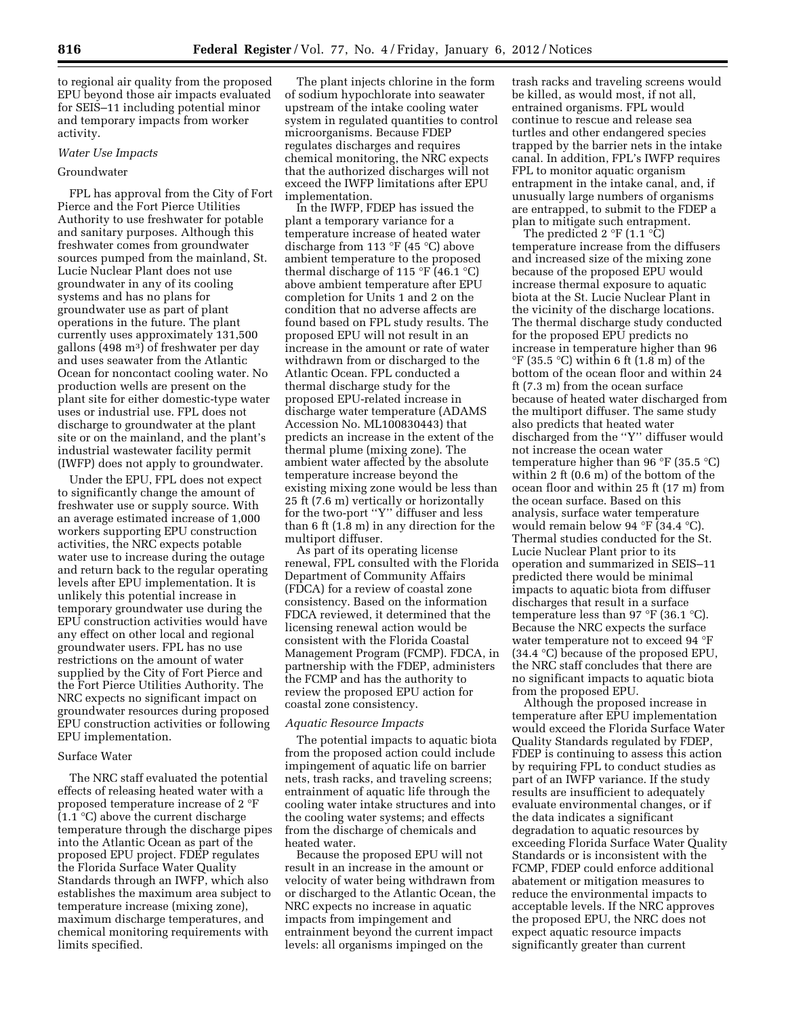to regional air quality from the proposed EPU beyond those air impacts evaluated for SEIS–11 including potential minor and temporary impacts from worker activity.

## *Water Use Impacts*

## Groundwater

FPL has approval from the City of Fort Pierce and the Fort Pierce Utilities Authority to use freshwater for potable and sanitary purposes. Although this freshwater comes from groundwater sources pumped from the mainland, St. Lucie Nuclear Plant does not use groundwater in any of its cooling systems and has no plans for groundwater use as part of plant operations in the future. The plant currently uses approximately 131,500 gallons  $(498 \text{ m}^3)$  of freshwater per day and uses seawater from the Atlantic Ocean for noncontact cooling water. No production wells are present on the plant site for either domestic-type water uses or industrial use. FPL does not discharge to groundwater at the plant site or on the mainland, and the plant's industrial wastewater facility permit (IWFP) does not apply to groundwater.

Under the EPU, FPL does not expect to significantly change the amount of freshwater use or supply source. With an average estimated increase of 1,000 workers supporting EPU construction activities, the NRC expects potable water use to increase during the outage and return back to the regular operating levels after EPU implementation. It is unlikely this potential increase in temporary groundwater use during the EPU construction activities would have any effect on other local and regional groundwater users. FPL has no use restrictions on the amount of water supplied by the City of Fort Pierce and the Fort Pierce Utilities Authority. The NRC expects no significant impact on groundwater resources during proposed EPU construction activities or following EPU implementation.

## Surface Water

The NRC staff evaluated the potential effects of releasing heated water with a proposed temperature increase of 2 °F  $(1.1 \text{ }^{\circ}C)$  above the current discharge temperature through the discharge pipes into the Atlantic Ocean as part of the proposed EPU project. FDEP regulates the Florida Surface Water Quality Standards through an IWFP, which also establishes the maximum area subject to temperature increase (mixing zone), maximum discharge temperatures, and chemical monitoring requirements with limits specified.

The plant injects chlorine in the form of sodium hypochlorate into seawater upstream of the intake cooling water system in regulated quantities to control microorganisms. Because FDEP regulates discharges and requires chemical monitoring, the NRC expects that the authorized discharges will not exceed the IWFP limitations after EPU implementation.

In the IWFP, FDEP has issued the plant a temporary variance for a temperature increase of heated water discharge from 113 °F (45 °C) above ambient temperature to the proposed thermal discharge of 115 °F (46.1 °C) above ambient temperature after EPU completion for Units 1 and 2 on the condition that no adverse affects are found based on FPL study results. The proposed EPU will not result in an increase in the amount or rate of water withdrawn from or discharged to the Atlantic Ocean. FPL conducted a thermal discharge study for the proposed EPU-related increase in discharge water temperature (ADAMS Accession No. ML100830443) that predicts an increase in the extent of the thermal plume (mixing zone). The ambient water affected by the absolute temperature increase beyond the existing mixing zone would be less than 25 ft (7.6 m) vertically or horizontally for the two-port ''Y'' diffuser and less than 6 ft  $(1.\overline{8} \text{ m})$  in any direction for the multiport diffuser.

As part of its operating license renewal, FPL consulted with the Florida Department of Community Affairs (FDCA) for a review of coastal zone consistency. Based on the information FDCA reviewed, it determined that the licensing renewal action would be consistent with the Florida Coastal Management Program (FCMP). FDCA, in partnership with the FDEP, administers the FCMP and has the authority to review the proposed EPU action for coastal zone consistency.

#### *Aquatic Resource Impacts*

The potential impacts to aquatic biota from the proposed action could include impingement of aquatic life on barrier nets, trash racks, and traveling screens; entrainment of aquatic life through the cooling water intake structures and into the cooling water systems; and effects from the discharge of chemicals and heated water.

Because the proposed EPU will not result in an increase in the amount or velocity of water being withdrawn from or discharged to the Atlantic Ocean, the NRC expects no increase in aquatic impacts from impingement and entrainment beyond the current impact levels: all organisms impinged on the

trash racks and traveling screens would be killed, as would most, if not all, entrained organisms. FPL would continue to rescue and release sea turtles and other endangered species trapped by the barrier nets in the intake canal. In addition, FPL's IWFP requires FPL to monitor aquatic organism entrapment in the intake canal, and, if unusually large numbers of organisms are entrapped, to submit to the FDEP a plan to mitigate such entrapment.

The predicted 2  $\mathrm{F}(1.1 \mathrm{C})$ temperature increase from the diffusers and increased size of the mixing zone because of the proposed EPU would increase thermal exposure to aquatic biota at the St. Lucie Nuclear Plant in the vicinity of the discharge locations. The thermal discharge study conducted for the proposed EPU predicts no increase in temperature higher than 96 °F (35.5 °C) within 6 ft (1.8 m) of the bottom of the ocean floor and within 24 ft (7.3 m) from the ocean surface because of heated water discharged from the multiport diffuser. The same study also predicts that heated water discharged from the ''Y'' diffuser would not increase the ocean water temperature higher than 96 °F (35.5 °C) within 2 ft (0.6 m) of the bottom of the ocean floor and within 25 ft (17 m) from the ocean surface. Based on this analysis, surface water temperature would remain below 94 °F (34.4 °C). Thermal studies conducted for the St. Lucie Nuclear Plant prior to its operation and summarized in SEIS–11 predicted there would be minimal impacts to aquatic biota from diffuser discharges that result in a surface temperature less than 97 °F (36.1 °C). Because the NRC expects the surface water temperature not to exceed 94 °F (34.4 °C) because of the proposed EPU, the NRC staff concludes that there are no significant impacts to aquatic biota from the proposed EPU.

Although the proposed increase in temperature after EPU implementation would exceed the Florida Surface Water Quality Standards regulated by FDEP, FDEP is continuing to assess this action by requiring FPL to conduct studies as part of an IWFP variance. If the study results are insufficient to adequately evaluate environmental changes, or if the data indicates a significant degradation to aquatic resources by exceeding Florida Surface Water Quality Standards or is inconsistent with the FCMP, FDEP could enforce additional abatement or mitigation measures to reduce the environmental impacts to acceptable levels. If the NRC approves the proposed EPU, the NRC does not expect aquatic resource impacts significantly greater than current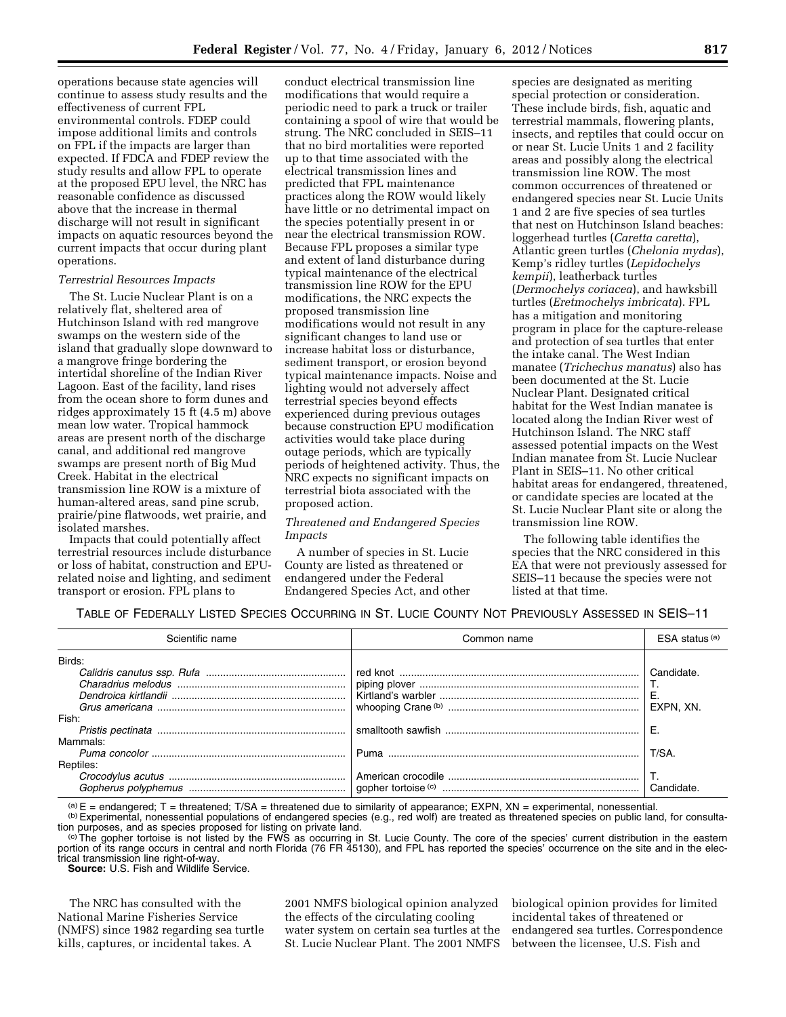operations because state agencies will continue to assess study results and the effectiveness of current FPL environmental controls. FDEP could impose additional limits and controls on FPL if the impacts are larger than expected. If FDCA and FDEP review the study results and allow FPL to operate at the proposed EPU level, the NRC has reasonable confidence as discussed above that the increase in thermal discharge will not result in significant impacts on aquatic resources beyond the current impacts that occur during plant operations.

## *Terrestrial Resources Impacts*

The St. Lucie Nuclear Plant is on a relatively flat, sheltered area of Hutchinson Island with red mangrove swamps on the western side of the island that gradually slope downward to a mangrove fringe bordering the intertidal shoreline of the Indian River Lagoon. East of the facility, land rises from the ocean shore to form dunes and ridges approximately 15 ft (4.5 m) above mean low water. Tropical hammock areas are present north of the discharge canal, and additional red mangrove swamps are present north of Big Mud Creek. Habitat in the electrical transmission line ROW is a mixture of human-altered areas, sand pine scrub, prairie/pine flatwoods, wet prairie, and isolated marshes.

Impacts that could potentially affect terrestrial resources include disturbance or loss of habitat, construction and EPUrelated noise and lighting, and sediment transport or erosion. FPL plans to

conduct electrical transmission line modifications that would require a periodic need to park a truck or trailer containing a spool of wire that would be strung. The NRC concluded in SEIS–11 that no bird mortalities were reported up to that time associated with the electrical transmission lines and predicted that FPL maintenance practices along the ROW would likely have little or no detrimental impact on the species potentially present in or near the electrical transmission ROW. Because FPL proposes a similar type and extent of land disturbance during typical maintenance of the electrical transmission line ROW for the EPU modifications, the NRC expects the proposed transmission line modifications would not result in any significant changes to land use or increase habitat loss or disturbance, sediment transport, or erosion beyond typical maintenance impacts. Noise and lighting would not adversely affect terrestrial species beyond effects experienced during previous outages because construction EPU modification activities would take place during outage periods, which are typically periods of heightened activity. Thus, the NRC expects no significant impacts on terrestrial biota associated with the proposed action.

## *Threatened and Endangered Species Impacts*

A number of species in St. Lucie County are listed as threatened or endangered under the Federal Endangered Species Act, and other species are designated as meriting special protection or consideration. These include birds, fish, aquatic and terrestrial mammals, flowering plants, insects, and reptiles that could occur on or near St. Lucie Units 1 and 2 facility areas and possibly along the electrical transmission line ROW. The most common occurrences of threatened or endangered species near St. Lucie Units 1 and 2 are five species of sea turtles that nest on Hutchinson Island beaches: loggerhead turtles (*Caretta caretta*), Atlantic green turtles (*Chelonia mydas*), Kemp's ridley turtles (*Lepidochelys kempii*), leatherback turtles (*Dermochelys coriacea*), and hawksbill turtles (*Eretmochelys imbricata*). FPL has a mitigation and monitoring program in place for the capture-release and protection of sea turtles that enter the intake canal. The West Indian manatee (*Trichechus manatus*) also has been documented at the St. Lucie Nuclear Plant. Designated critical habitat for the West Indian manatee is located along the Indian River west of Hutchinson Island. The NRC staff assessed potential impacts on the West Indian manatee from St. Lucie Nuclear Plant in SEIS–11. No other critical habitat areas for endangered, threatened, or candidate species are located at the St. Lucie Nuclear Plant site or along the transmission line ROW.

The following table identifies the species that the NRC considered in this EA that were not previously assessed for SEIS–11 because the species were not listed at that time.

# TABLE OF FEDERALLY LISTED SPECIES OCCURRING IN ST. LUCIE COUNTY NOT PREVIOUSLY ASSESSED IN SEIS–11

| Scientific name | Common name | $ESA$ status $(a)$ |
|-----------------|-------------|--------------------|
| Birds:          |             |                    |
|                 |             | Candidate.         |
|                 |             |                    |
|                 |             | <b>E.</b>          |
|                 |             | EXPN. XN.          |
| Fish:           |             |                    |
|                 |             | E.                 |
| Mammals:        |             |                    |
|                 |             | T/SA.              |
| Reptiles:       |             |                    |
|                 |             |                    |
|                 |             | Candidate.         |

 $(a)$  E = endangered; T = threatened; T/SA = threatened due to similarity of appearance; EXPN, XN = experimental, nonessential.

(b)Experimental, nonessential populations of endangered species (e.g., red wolf) are treated as threatened species on public land, for consultation purposes, and as species proposed for listing on private land.<br>
<sup>(c)</sup> The gopher tortoise is not listed by the FWS as occurring in St. Lucie County. The core of the species' current distribution in the eastern

portion of its range occurs in central and north Florida (76 FR 45130), and FPL has reported the species' occurrence on the site and in the electrical transmission line right-of-way.

**Source:** U.S. Fish and Wildlife Service.

The NRC has consulted with the National Marine Fisheries Service (NMFS) since 1982 regarding sea turtle kills, captures, or incidental takes. A

2001 NMFS biological opinion analyzed the effects of the circulating cooling water system on certain sea turtles at the St. Lucie Nuclear Plant. The 2001 NMFS

biological opinion provides for limited incidental takes of threatened or endangered sea turtles. Correspondence between the licensee, U.S. Fish and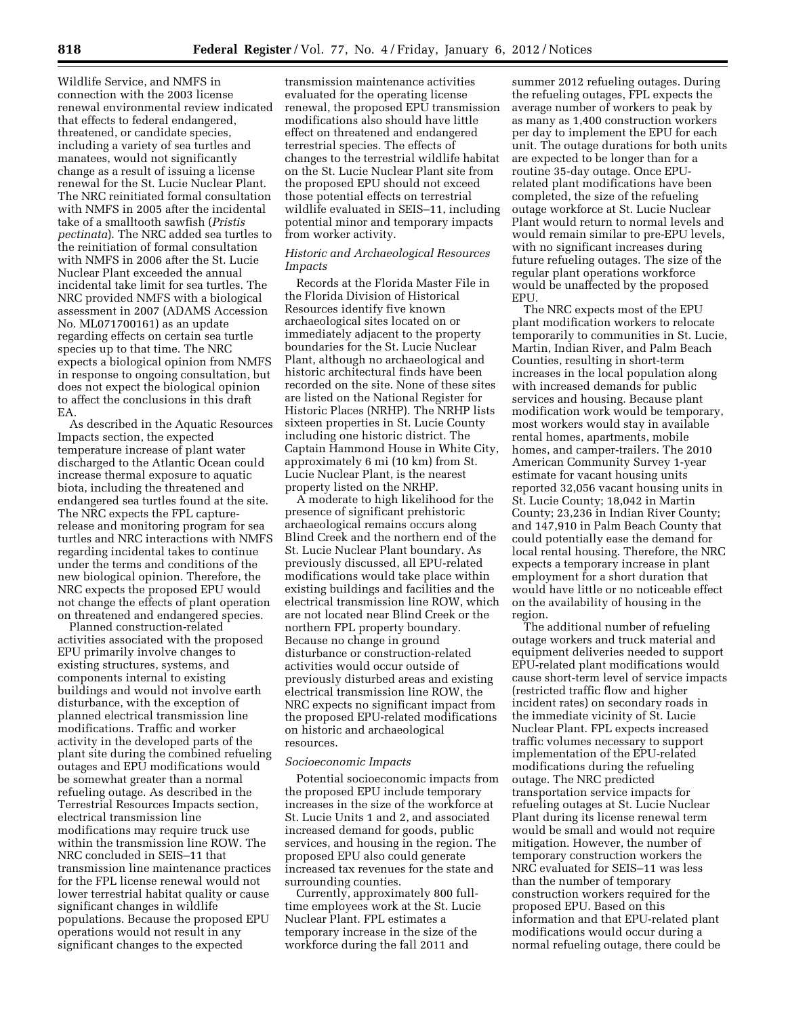Wildlife Service, and NMFS in connection with the 2003 license renewal environmental review indicated that effects to federal endangered, threatened, or candidate species, including a variety of sea turtles and manatees, would not significantly change as a result of issuing a license renewal for the St. Lucie Nuclear Plant. The NRC reinitiated formal consultation with NMFS in 2005 after the incidental take of a smalltooth sawfish (*Pristis pectinata*). The NRC added sea turtles to the reinitiation of formal consultation with NMFS in 2006 after the St. Lucie Nuclear Plant exceeded the annual incidental take limit for sea turtles. The NRC provided NMFS with a biological assessment in 2007 (ADAMS Accession No. ML071700161) as an update regarding effects on certain sea turtle species up to that time. The NRC expects a biological opinion from NMFS in response to ongoing consultation, but does not expect the biological opinion to affect the conclusions in this draft EA.

As described in the Aquatic Resources Impacts section, the expected temperature increase of plant water discharged to the Atlantic Ocean could increase thermal exposure to aquatic biota, including the threatened and endangered sea turtles found at the site. The NRC expects the FPL capturerelease and monitoring program for sea turtles and NRC interactions with NMFS regarding incidental takes to continue under the terms and conditions of the new biological opinion. Therefore, the NRC expects the proposed EPU would not change the effects of plant operation on threatened and endangered species.

Planned construction-related activities associated with the proposed EPU primarily involve changes to existing structures, systems, and components internal to existing buildings and would not involve earth disturbance, with the exception of planned electrical transmission line modifications. Traffic and worker activity in the developed parts of the plant site during the combined refueling outages and EPU modifications would be somewhat greater than a normal refueling outage. As described in the Terrestrial Resources Impacts section, electrical transmission line modifications may require truck use within the transmission line ROW. The NRC concluded in SEIS–11 that transmission line maintenance practices for the FPL license renewal would not lower terrestrial habitat quality or cause significant changes in wildlife populations. Because the proposed EPU operations would not result in any significant changes to the expected

transmission maintenance activities evaluated for the operating license renewal, the proposed EPU transmission modifications also should have little effect on threatened and endangered terrestrial species. The effects of changes to the terrestrial wildlife habitat on the St. Lucie Nuclear Plant site from the proposed EPU should not exceed those potential effects on terrestrial wildlife evaluated in SEIS–11, including potential minor and temporary impacts from worker activity.

# *Historic and Archaeological Resources Impacts*

Records at the Florida Master File in the Florida Division of Historical Resources identify five known archaeological sites located on or immediately adjacent to the property boundaries for the St. Lucie Nuclear Plant, although no archaeological and historic architectural finds have been recorded on the site. None of these sites are listed on the National Register for Historic Places (NRHP). The NRHP lists sixteen properties in St. Lucie County including one historic district. The Captain Hammond House in White City, approximately 6 mi (10 km) from St. Lucie Nuclear Plant, is the nearest property listed on the NRHP.

A moderate to high likelihood for the presence of significant prehistoric archaeological remains occurs along Blind Creek and the northern end of the St. Lucie Nuclear Plant boundary. As previously discussed, all EPU-related modifications would take place within existing buildings and facilities and the electrical transmission line ROW, which are not located near Blind Creek or the northern FPL property boundary. Because no change in ground disturbance or construction-related activities would occur outside of previously disturbed areas and existing electrical transmission line ROW, the NRC expects no significant impact from the proposed EPU-related modifications on historic and archaeological resources.

#### *Socioeconomic Impacts*

Potential socioeconomic impacts from the proposed EPU include temporary increases in the size of the workforce at St. Lucie Units 1 and 2, and associated increased demand for goods, public services, and housing in the region. The proposed EPU also could generate increased tax revenues for the state and surrounding counties.

Currently, approximately 800 fulltime employees work at the St. Lucie Nuclear Plant. FPL estimates a temporary increase in the size of the workforce during the fall 2011 and

summer 2012 refueling outages. During the refueling outages, FPL expects the average number of workers to peak by as many as 1,400 construction workers per day to implement the EPU for each unit. The outage durations for both units are expected to be longer than for a routine 35-day outage. Once EPUrelated plant modifications have been completed, the size of the refueling outage workforce at St. Lucie Nuclear Plant would return to normal levels and would remain similar to pre-EPU levels, with no significant increases during future refueling outages. The size of the regular plant operations workforce would be unaffected by the proposed EPU.

The NRC expects most of the EPU plant modification workers to relocate temporarily to communities in St. Lucie, Martin, Indian River, and Palm Beach Counties, resulting in short-term increases in the local population along with increased demands for public services and housing. Because plant modification work would be temporary, most workers would stay in available rental homes, apartments, mobile homes, and camper-trailers. The 2010 American Community Survey 1-year estimate for vacant housing units reported 32,056 vacant housing units in St. Lucie County; 18,042 in Martin County; 23,236 in Indian River County; and 147,910 in Palm Beach County that could potentially ease the demand for local rental housing. Therefore, the NRC expects a temporary increase in plant employment for a short duration that would have little or no noticeable effect on the availability of housing in the region.

The additional number of refueling outage workers and truck material and equipment deliveries needed to support EPU-related plant modifications would cause short-term level of service impacts (restricted traffic flow and higher incident rates) on secondary roads in the immediate vicinity of St. Lucie Nuclear Plant. FPL expects increased traffic volumes necessary to support implementation of the EPU-related modifications during the refueling outage. The NRC predicted transportation service impacts for refueling outages at St. Lucie Nuclear Plant during its license renewal term would be small and would not require mitigation. However, the number of temporary construction workers the NRC evaluated for SEIS–11 was less than the number of temporary construction workers required for the proposed EPU. Based on this information and that EPU-related plant modifications would occur during a normal refueling outage, there could be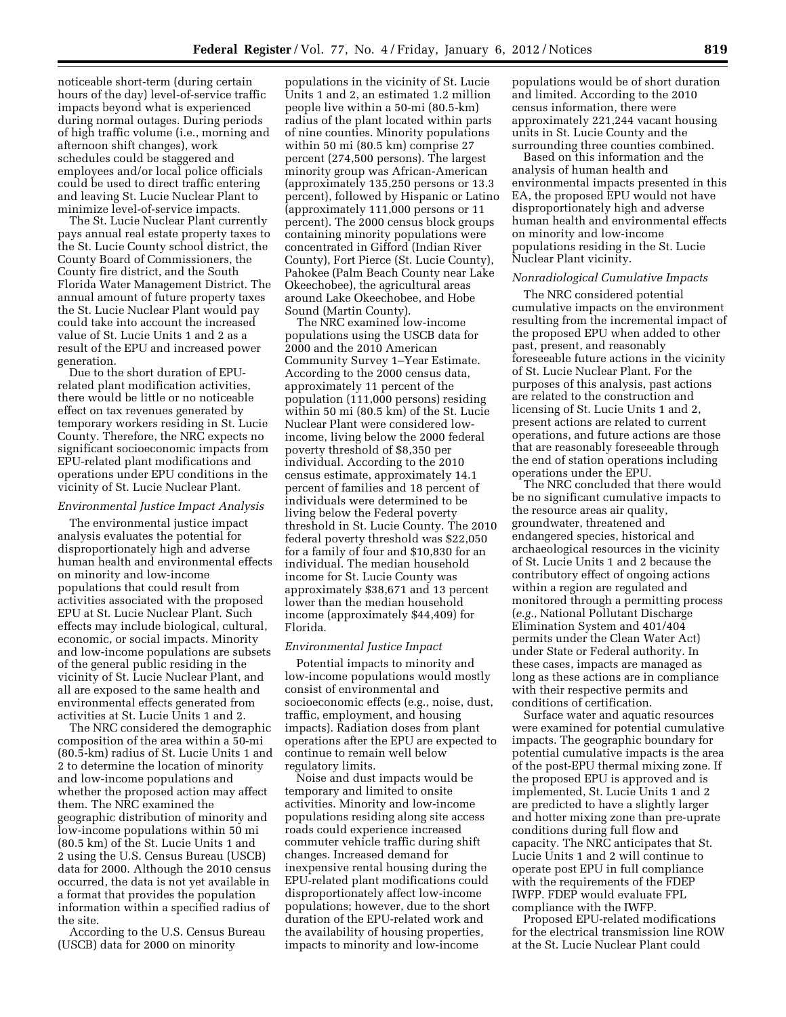noticeable short-term (during certain hours of the day) level-of-service traffic impacts beyond what is experienced during normal outages. During periods of high traffic volume (i.e., morning and afternoon shift changes), work schedules could be staggered and employees and/or local police officials could be used to direct traffic entering and leaving St. Lucie Nuclear Plant to minimize level-of-service impacts.

The St. Lucie Nuclear Plant currently pays annual real estate property taxes to the St. Lucie County school district, the County Board of Commissioners, the County fire district, and the South Florida Water Management District. The annual amount of future property taxes the St. Lucie Nuclear Plant would pay could take into account the increased value of St. Lucie Units 1 and 2 as a result of the EPU and increased power generation.

Due to the short duration of EPUrelated plant modification activities, there would be little or no noticeable effect on tax revenues generated by temporary workers residing in St. Lucie County. Therefore, the NRC expects no significant socioeconomic impacts from EPU-related plant modifications and operations under EPU conditions in the vicinity of St. Lucie Nuclear Plant.

#### *Environmental Justice Impact Analysis*

The environmental justice impact analysis evaluates the potential for disproportionately high and adverse human health and environmental effects on minority and low-income populations that could result from activities associated with the proposed EPU at St. Lucie Nuclear Plant. Such effects may include biological, cultural, economic, or social impacts. Minority and low-income populations are subsets of the general public residing in the vicinity of St. Lucie Nuclear Plant, and all are exposed to the same health and environmental effects generated from activities at St. Lucie Units 1 and 2.

The NRC considered the demographic composition of the area within a 50-mi (80.5-km) radius of St. Lucie Units 1 and 2 to determine the location of minority and low-income populations and whether the proposed action may affect them. The NRC examined the geographic distribution of minority and low-income populations within 50 mi (80.5 km) of the St. Lucie Units 1 and 2 using the U.S. Census Bureau (USCB) data for 2000. Although the 2010 census occurred, the data is not yet available in a format that provides the population information within a specified radius of the site.

According to the U.S. Census Bureau (USCB) data for 2000 on minority

populations in the vicinity of St. Lucie Units 1 and 2, an estimated 1.2 million people live within a 50-mi (80.5-km) radius of the plant located within parts of nine counties. Minority populations within 50 mi (80.5 km) comprise 27 percent (274,500 persons). The largest minority group was African-American (approximately 135,250 persons or 13.3 percent), followed by Hispanic or Latino (approximately 111,000 persons or 11 percent). The 2000 census block groups containing minority populations were concentrated in Gifford (Indian River County), Fort Pierce (St. Lucie County), Pahokee (Palm Beach County near Lake Okeechobee), the agricultural areas around Lake Okeechobee, and Hobe Sound (Martin County).

The NRC examined low-income populations using the USCB data for 2000 and the 2010 American Community Survey 1–Year Estimate. According to the 2000 census data, approximately 11 percent of the population (111,000 persons) residing within 50 mi (80.5 km) of the St. Lucie Nuclear Plant were considered lowincome, living below the 2000 federal poverty threshold of \$8,350 per individual. According to the 2010 census estimate, approximately 14.1 percent of families and 18 percent of individuals were determined to be living below the Federal poverty threshold in St. Lucie County. The 2010 federal poverty threshold was \$22,050 for a family of four and \$10,830 for an individual. The median household income for St. Lucie County was approximately \$38,671 and 13 percent lower than the median household income (approximately \$44,409) for Florida.

## *Environmental Justice Impact*

Potential impacts to minority and low-income populations would mostly consist of environmental and socioeconomic effects (e.g., noise, dust, traffic, employment, and housing impacts). Radiation doses from plant operations after the EPU are expected to continue to remain well below regulatory limits.

Noise and dust impacts would be temporary and limited to onsite activities. Minority and low-income populations residing along site access roads could experience increased commuter vehicle traffic during shift changes. Increased demand for inexpensive rental housing during the EPU-related plant modifications could disproportionately affect low-income populations; however, due to the short duration of the EPU-related work and the availability of housing properties, impacts to minority and low-income

populations would be of short duration and limited. According to the 2010 census information, there were approximately 221,244 vacant housing units in St. Lucie County and the surrounding three counties combined.

Based on this information and the analysis of human health and environmental impacts presented in this EA, the proposed EPU would not have disproportionately high and adverse human health and environmental effects on minority and low-income populations residing in the St. Lucie Nuclear Plant vicinity.

# *Nonradiological Cumulative Impacts*

The NRC considered potential cumulative impacts on the environment resulting from the incremental impact of the proposed EPU when added to other past, present, and reasonably foreseeable future actions in the vicinity of St. Lucie Nuclear Plant. For the purposes of this analysis, past actions are related to the construction and licensing of St. Lucie Units 1 and 2, present actions are related to current operations, and future actions are those that are reasonably foreseeable through the end of station operations including operations under the EPU.

The NRC concluded that there would be no significant cumulative impacts to the resource areas air quality, groundwater, threatened and endangered species, historical and archaeological resources in the vicinity of St. Lucie Units 1 and 2 because the contributory effect of ongoing actions within a region are regulated and monitored through a permitting process (*e.g.,* National Pollutant Discharge Elimination System and 401/404 permits under the Clean Water Act) under State or Federal authority. In these cases, impacts are managed as long as these actions are in compliance with their respective permits and conditions of certification.

Surface water and aquatic resources were examined for potential cumulative impacts. The geographic boundary for potential cumulative impacts is the area of the post-EPU thermal mixing zone. If the proposed EPU is approved and is implemented, St. Lucie Units 1 and 2 are predicted to have a slightly larger and hotter mixing zone than pre-uprate conditions during full flow and capacity. The NRC anticipates that St. Lucie Units 1 and 2 will continue to operate post EPU in full compliance with the requirements of the FDEP IWFP. FDEP would evaluate FPL compliance with the IWFP.

Proposed EPU-related modifications for the electrical transmission line ROW at the St. Lucie Nuclear Plant could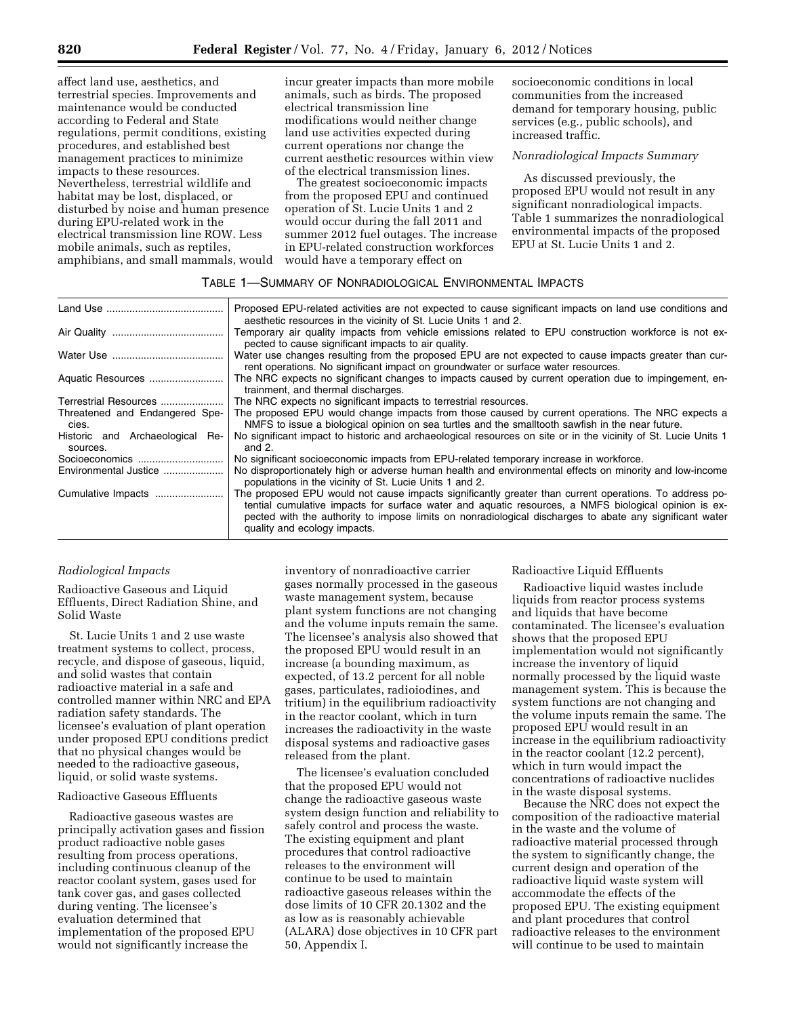affect land use, aesthetics, and terrestrial species. Improvements and maintenance would be conducted according to Federal and State regulations, permit conditions, existing procedures, and established best management practices to minimize impacts to these resources. Nevertheless, terrestrial wildlife and habitat may be lost, displaced, or disturbed by noise and human presence during EPU-related work in the electrical transmission line ROW. Less mobile animals, such as reptiles, amphibians, and small mammals, would incur greater impacts than more mobile animals, such as birds. The proposed electrical transmission line modifications would neither change land use activities expected during current operations nor change the current aesthetic resources within view of the electrical transmission lines.

The greatest socioeconomic impacts from the proposed EPU and continued operation of St. Lucie Units 1 and 2 would occur during the fall 2011 and summer 2012 fuel outages. The increase in EPU-related construction workforces would have a temporary effect on

socioeconomic conditions in local communities from the increased demand for temporary housing, public services (e.g., public schools), and increased traffic.

# *Nonradiological Impacts Summary*

As discussed previously, the proposed EPU would not result in any significant nonradiological impacts. Table 1 summarizes the nonradiological environmental impacts of the proposed EPU at St. Lucie Units 1 and 2.

# TABLE 1—SUMMARY OF NONRADIOLOGICAL ENVIRONMENTAL IMPACTS

| Proposed EPU-related activities are not expected to cause significant impacts on land use conditions and<br>aesthetic resources in the vicinity of St. Lucie Units 1 and 2.                                                                                                                                                                               |
|-----------------------------------------------------------------------------------------------------------------------------------------------------------------------------------------------------------------------------------------------------------------------------------------------------------------------------------------------------------|
| Temporary air quality impacts from vehicle emissions related to EPU construction workforce is not ex-<br>pected to cause significant impacts to air quality.                                                                                                                                                                                              |
| Water use changes resulting from the proposed EPU are not expected to cause impacts greater than cur-<br>rent operations. No significant impact on groundwater or surface water resources.                                                                                                                                                                |
| The NRC expects no significant changes to impacts caused by current operation due to impingement, en-<br>trainment, and thermal discharges.                                                                                                                                                                                                               |
| The NRC expects no significant impacts to terrestrial resources.                                                                                                                                                                                                                                                                                          |
| The proposed EPU would change impacts from those caused by current operations. The NRC expects a<br>NMFS to issue a biological opinion on sea turtles and the smalltooth sawfish in the near future.                                                                                                                                                      |
| No significant impact to historic and archaeological resources on site or in the vicinity of St. Lucie Units 1<br>and $2$ .                                                                                                                                                                                                                               |
| No significant socioeconomic impacts from EPU-related temporary increase in workforce.                                                                                                                                                                                                                                                                    |
| No disproportionately high or adverse human health and environmental effects on minority and low-income<br>populations in the vicinity of St. Lucie Units 1 and 2.                                                                                                                                                                                        |
| The proposed EPU would not cause impacts significantly greater than current operations. To address po-<br>tential cumulative impacts for surface water and aquatic resources, a NMFS biological opinion is ex-<br>pected with the authority to impose limits on nonradiological discharges to abate any significant water<br>quality and ecology impacts. |
|                                                                                                                                                                                                                                                                                                                                                           |

#### *Radiological Impacts*

Radioactive Gaseous and Liquid Effluents, Direct Radiation Shine, and Solid Waste

St. Lucie Units 1 and 2 use waste treatment systems to collect, process, recycle, and dispose of gaseous, liquid, and solid wastes that contain radioactive material in a safe and controlled manner within NRC and EPA radiation safety standards. The licensee's evaluation of plant operation under proposed EPU conditions predict that no physical changes would be needed to the radioactive gaseous, liquid, or solid waste systems.

# Radioactive Gaseous Effluents

Radioactive gaseous wastes are principally activation gases and fission product radioactive noble gases resulting from process operations, including continuous cleanup of the reactor coolant system, gases used for tank cover gas, and gases collected during venting. The licensee's evaluation determined that implementation of the proposed EPU would not significantly increase the

inventory of nonradioactive carrier gases normally processed in the gaseous waste management system, because plant system functions are not changing and the volume inputs remain the same. The licensee's analysis also showed that the proposed EPU would result in an increase (a bounding maximum, as expected, of 13.2 percent for all noble gases, particulates, radioiodines, and tritium) in the equilibrium radioactivity in the reactor coolant, which in turn increases the radioactivity in the waste disposal systems and radioactive gases released from the plant.

The licensee's evaluation concluded that the proposed EPU would not change the radioactive gaseous waste system design function and reliability to safely control and process the waste. The existing equipment and plant procedures that control radioactive releases to the environment will continue to be used to maintain radioactive gaseous releases within the dose limits of 10 CFR 20.1302 and the as low as is reasonably achievable (ALARA) dose objectives in 10 CFR part 50, Appendix I.

Radioactive Liquid Effluents

Radioactive liquid wastes include liquids from reactor process systems and liquids that have become contaminated. The licensee's evaluation shows that the proposed EPU implementation would not significantly increase the inventory of liquid normally processed by the liquid waste management system. This is because the system functions are not changing and the volume inputs remain the same. The proposed EPU would result in an increase in the equilibrium radioactivity in the reactor coolant (12.2 percent), which in turn would impact the concentrations of radioactive nuclides in the waste disposal systems.

Because the NRC does not expect the composition of the radioactive material in the waste and the volume of radioactive material processed through the system to significantly change, the current design and operation of the radioactive liquid waste system will accommodate the effects of the proposed EPU. The existing equipment and plant procedures that control radioactive releases to the environment will continue to be used to maintain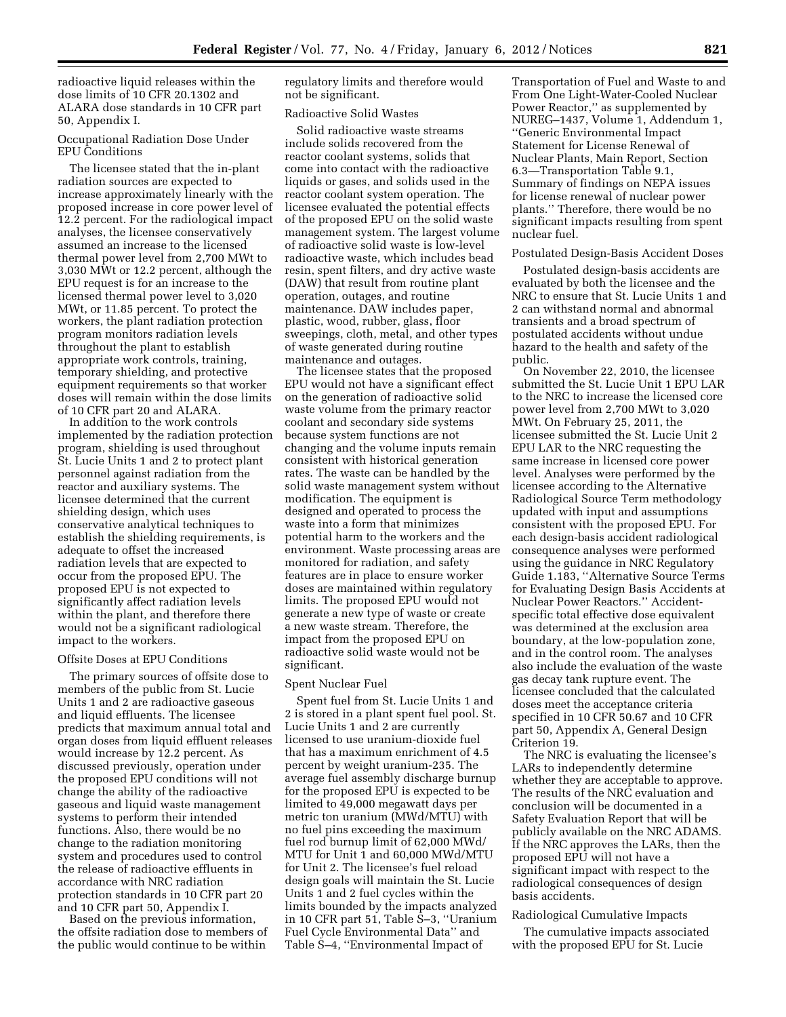radioactive liquid releases within the dose limits of 10 CFR 20.1302 and ALARA dose standards in 10 CFR part 50, Appendix I.

# Occupational Radiation Dose Under EPU Conditions

The licensee stated that the in-plant radiation sources are expected to increase approximately linearly with the proposed increase in core power level of 12.2 percent. For the radiological impact analyses, the licensee conservatively assumed an increase to the licensed thermal power level from 2,700 MWt to 3,030 MWt or 12.2 percent, although the EPU request is for an increase to the licensed thermal power level to 3,020 MWt, or 11.85 percent. To protect the workers, the plant radiation protection program monitors radiation levels throughout the plant to establish appropriate work controls, training, temporary shielding, and protective equipment requirements so that worker doses will remain within the dose limits of 10 CFR part 20 and ALARA.

In addition to the work controls implemented by the radiation protection program, shielding is used throughout St. Lucie Units 1 and 2 to protect plant personnel against radiation from the reactor and auxiliary systems. The licensee determined that the current shielding design, which uses conservative analytical techniques to establish the shielding requirements, is adequate to offset the increased radiation levels that are expected to occur from the proposed EPU. The proposed EPU is not expected to significantly affect radiation levels within the plant, and therefore there would not be a significant radiological impact to the workers.

## Offsite Doses at EPU Conditions

The primary sources of offsite dose to members of the public from St. Lucie Units 1 and 2 are radioactive gaseous and liquid effluents. The licensee predicts that maximum annual total and organ doses from liquid effluent releases would increase by 12.2 percent. As discussed previously, operation under the proposed EPU conditions will not change the ability of the radioactive gaseous and liquid waste management systems to perform their intended functions. Also, there would be no change to the radiation monitoring system and procedures used to control the release of radioactive effluents in accordance with NRC radiation protection standards in 10 CFR part 20 and 10 CFR part 50, Appendix I.

Based on the previous information, the offsite radiation dose to members of the public would continue to be within

regulatory limits and therefore would not be significant.

## Radioactive Solid Wastes

Solid radioactive waste streams include solids recovered from the reactor coolant systems, solids that come into contact with the radioactive liquids or gases, and solids used in the reactor coolant system operation. The licensee evaluated the potential effects of the proposed EPU on the solid waste management system. The largest volume of radioactive solid waste is low-level radioactive waste, which includes bead resin, spent filters, and dry active waste (DAW) that result from routine plant operation, outages, and routine maintenance. DAW includes paper, plastic, wood, rubber, glass, floor sweepings, cloth, metal, and other types of waste generated during routine maintenance and outages.

The licensee states that the proposed EPU would not have a significant effect on the generation of radioactive solid waste volume from the primary reactor coolant and secondary side systems because system functions are not changing and the volume inputs remain consistent with historical generation rates. The waste can be handled by the solid waste management system without modification. The equipment is designed and operated to process the waste into a form that minimizes potential harm to the workers and the environment. Waste processing areas are monitored for radiation, and safety features are in place to ensure worker doses are maintained within regulatory limits. The proposed EPU would not generate a new type of waste or create a new waste stream. Therefore, the impact from the proposed EPU on radioactive solid waste would not be significant.

#### Spent Nuclear Fuel

Spent fuel from St. Lucie Units 1 and 2 is stored in a plant spent fuel pool. St. Lucie Units 1 and 2 are currently licensed to use uranium-dioxide fuel that has a maximum enrichment of 4.5 percent by weight uranium-235. The average fuel assembly discharge burnup for the proposed EPU is expected to be limited to 49,000 megawatt days per metric ton uranium (MWd/MTU) with no fuel pins exceeding the maximum fuel rod burnup limit of 62,000 MWd/ MTU for Unit 1 and 60,000 MWd/MTU for Unit 2. The licensee's fuel reload design goals will maintain the St. Lucie Units 1 and 2 fuel cycles within the limits bounded by the impacts analyzed in 10 CFR part 51, Table S–3, ''Uranium Fuel Cycle Environmental Data'' and Table S–4, ''Environmental Impact of

Transportation of Fuel and Waste to and From One Light-Water-Cooled Nuclear Power Reactor,'' as supplemented by NUREG–1437, Volume 1, Addendum 1, ''Generic Environmental Impact Statement for License Renewal of Nuclear Plants, Main Report, Section 6.3—Transportation Table 9.1, Summary of findings on NEPA issues for license renewal of nuclear power plants.'' Therefore, there would be no significant impacts resulting from spent nuclear fuel.

## Postulated Design-Basis Accident Doses

Postulated design-basis accidents are evaluated by both the licensee and the NRC to ensure that St. Lucie Units 1 and 2 can withstand normal and abnormal transients and a broad spectrum of postulated accidents without undue hazard to the health and safety of the public.

On November 22, 2010, the licensee submitted the St. Lucie Unit 1 EPU LAR to the NRC to increase the licensed core power level from 2,700 MWt to 3,020 MWt. On February 25, 2011, the licensee submitted the St. Lucie Unit 2 EPU LAR to the NRC requesting the same increase in licensed core power level. Analyses were performed by the licensee according to the Alternative Radiological Source Term methodology updated with input and assumptions consistent with the proposed EPU. For each design-basis accident radiological consequence analyses were performed using the guidance in NRC Regulatory Guide 1.183, ''Alternative Source Terms for Evaluating Design Basis Accidents at Nuclear Power Reactors.'' Accidentspecific total effective dose equivalent was determined at the exclusion area boundary, at the low-population zone, and in the control room. The analyses also include the evaluation of the waste gas decay tank rupture event. The licensee concluded that the calculated doses meet the acceptance criteria specified in 10 CFR 50.67 and 10 CFR part 50, Appendix A, General Design Criterion 19.

The NRC is evaluating the licensee's LARs to independently determine whether they are acceptable to approve. The results of the NRC evaluation and conclusion will be documented in a Safety Evaluation Report that will be publicly available on the NRC ADAMS. If the NRC approves the LARs, then the proposed EPU will not have a significant impact with respect to the radiological consequences of design basis accidents.

#### Radiological Cumulative Impacts

The cumulative impacts associated with the proposed EPU for St. Lucie